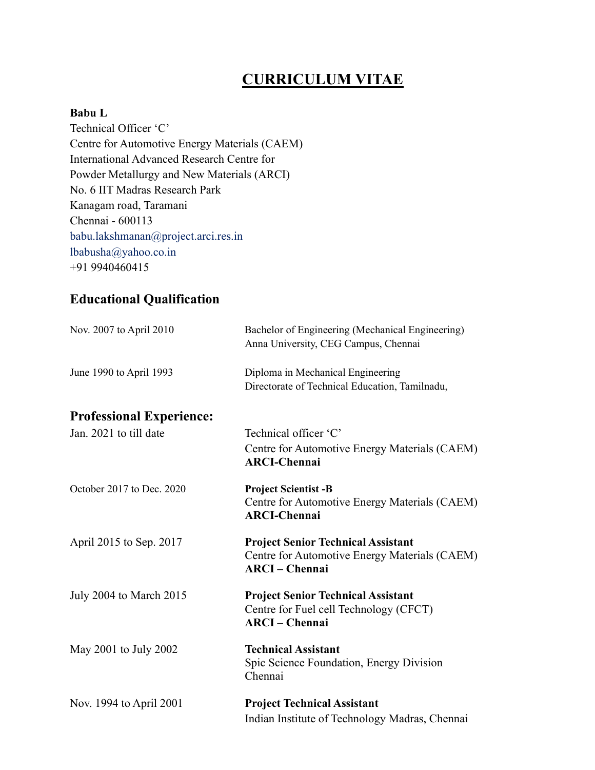# CURRICULUM VITAE

#### Babu L

Technical Officer 'C' Centre for Automotive Energy Materials (CAEM) International Advanced Research Centre for Powder Metallurgy and New Materials (ARCI) No. 6 IIT Madras Research Park Kanagam road, Taramani Chennai - 600113 babu.lakshmanan@project.arci.res.in lbabusha@yahoo.co.in +91 9940460415

# Educational Qualification

| Nov. 2007 to April 2010         | Bachelor of Engineering (Mechanical Engineering)<br>Anna University, CEG Campus, Chennai                          |
|---------------------------------|-------------------------------------------------------------------------------------------------------------------|
| June 1990 to April 1993         | Diploma in Mechanical Engineering<br>Directorate of Technical Education, Tamilnadu,                               |
| <b>Professional Experience:</b> |                                                                                                                   |
| Jan. 2021 to till date          | Technical officer 'C'                                                                                             |
|                                 | Centre for Automotive Energy Materials (CAEM)<br><b>ARCI-Chennai</b>                                              |
| October 2017 to Dec. 2020       | <b>Project Scientist -B</b><br>Centre for Automotive Energy Materials (CAEM)<br><b>ARCI-Chennai</b>               |
| April 2015 to Sep. 2017         | <b>Project Senior Technical Assistant</b><br>Centre for Automotive Energy Materials (CAEM)<br><b>ARCI-Chennai</b> |
| July 2004 to March 2015         | <b>Project Senior Technical Assistant</b><br>Centre for Fuel cell Technology (CFCT)<br><b>ARCI-Chennai</b>        |
| May 2001 to July 2002           | <b>Technical Assistant</b><br>Spic Science Foundation, Energy Division<br>Chennai                                 |
| Nov. 1994 to April 2001         | <b>Project Technical Assistant</b><br>Indian Institute of Technology Madras, Chennai                              |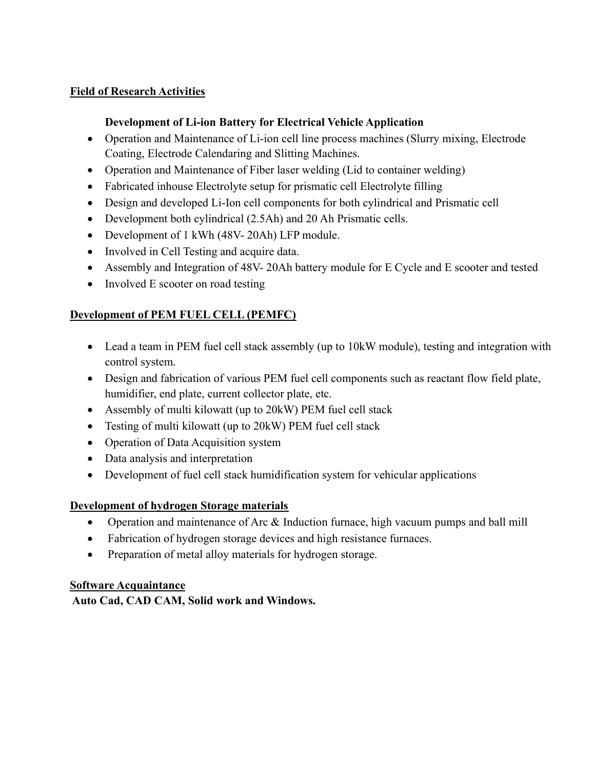### Field of Research Activities

### Development of Li-ion Battery for Electrical Vehicle Application

- Operation and Maintenance of Li-ion cell line process machines (Slurry mixing, Electrode Coating, Electrode Calendaring and Slitting Machines.
- Operation and Maintenance of Fiber laser welding (Lid to container welding)
- Fabricated inhouse Electrolyte setup for prismatic cell Electrolyte filling
- Design and developed Li-Ion cell components for both cylindrical and Prismatic cell
- Development both cylindrical (2.5Ah) and 20 Ah Prismatic cells.
- Development of 1 kWh (48V- 20Ah) LFP module.
- Involved in Cell Testing and acquire data.
- Assembly and Integration of 48V- 20Ah battery module for E Cycle and E scooter and tested
- Involved E scooter on road testing

# Development of PEM FUEL CELL (PEMFC)

- Lead a team in PEM fuel cell stack assembly (up to 10kW module), testing and integration with control system.
- Design and fabrication of various PEM fuel cell components such as reactant flow field plate, humidifier, end plate, current collector plate, etc.
- Assembly of multi kilowatt (up to 20kW) PEM fuel cell stack
- Testing of multi kilowatt (up to 20kW) PEM fuel cell stack
- Operation of Data Acquisition system
- Data analysis and interpretation
- Development of fuel cell stack humidification system for vehicular applications

# Development of hydrogen Storage materials

- Operation and maintenance of Arc & Induction furnace, high vacuum pumps and ball mill
- Fabrication of hydrogen storage devices and high resistance furnaces.
- Preparation of metal alloy materials for hydrogen storage.

#### Software Acquaintance

Auto Cad, CAD CAM, Solid work and Windows.